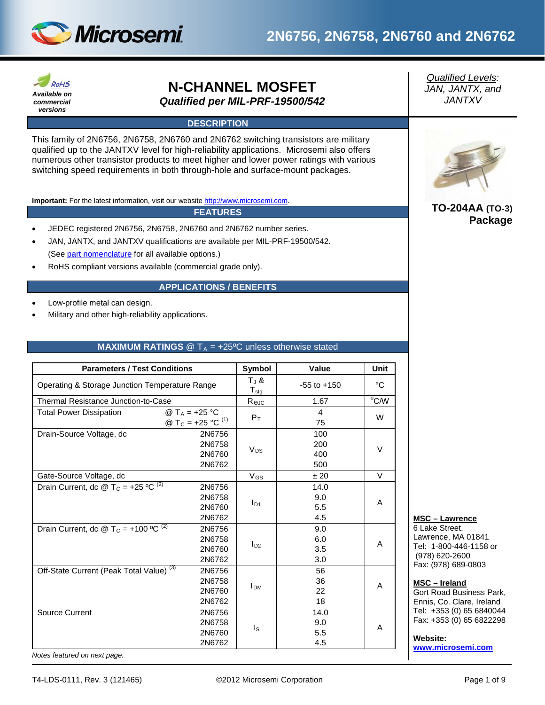

# **2N6756, 2N6758, 2N6760 and 2N6762**



## **N-CHANNEL MOSFET** *Qualified per MIL-PRF-19500/542*

## **DESCRIPTION**

This family of 2N6756, 2N6758, 2N6760 and 2N6762 switching transistors are military qualified up to the JANTXV level for high-reliability applications. Microsemi also offers numerous other transistor products to meet higher and lower power ratings with various switching speed requirements in both through-hole and surface-mount packages.

**Important:** For the latest information, visit our website [http://www.microsemi.com.](http://www.microsemi.com/)

#### **FEATURES**

- JEDEC registered 2N6756, 2N6758, 2N6760 and 2N6762 number series.
- JAN, JANTX, and JANTXV qualifications are available per MIL-PRF-19500/542. (Se[e part nomenclature](#page-1-0) for all available options.)
- RoHS compliant versions available (commercial grade only).

#### **APPLICATIONS / BENEFITS**

- Low-profile metal can design.
- Military and other high-reliability applications.

#### **MAXIMUM RATINGS**  $\textcircled{}$  T<sub>A</sub> = +25°C unless otherwise stated

| <b>Parameters / Test Conditions</b>                                                                     | Symbol                                                         | Value                     | <b>Unit</b>        |
|---------------------------------------------------------------------------------------------------------|----------------------------------------------------------------|---------------------------|--------------------|
| Operating & Storage Junction Temperature Range                                                          | $T_{J}$ &<br>${\mathsf T}_{\text{stg}}$                        | $-55$ to $+150$           | °C                 |
| Thermal Resistance Junction-to-Case                                                                     | $R_{\Theta$ JC                                                 | 1.67                      | $\overline{O}$ C/W |
| @ T <sub>A</sub> = +25 °C<br><b>Total Power Dissipation</b><br>@ T <sub>C</sub> = +25 °C <sup>(1)</sup> | $P_T$                                                          | $\overline{4}$<br>75      | W                  |
| Drain-Source Voltage, dc                                                                                | 2N6756<br>2N6758<br>$V_{DS}$<br>2N6760<br>2N6762               | 100<br>200<br>400<br>500  | $\vee$             |
| Gate-Source Voltage, dc                                                                                 | $V_{GS}$                                                       | ±20                       | $\vee$             |
| Drain Current, dc @ T <sub>C</sub> = +25 <sup>o</sup> C <sup>(2)</sup>                                  | 2N6756<br>2N6758<br>$I_{D1}$<br>2N6760<br>2N6762               | 14.0<br>9.0<br>5.5<br>4.5 | A                  |
| Drain Current, dc @ T <sub>C</sub> = +100 °C <sup>(2)</sup>                                             | 2N6756<br>2N6758<br>$I_{D2}$<br>2N6760<br>2N6762               | 9.0<br>6.0<br>3.5<br>3.0  | A                  |
| Off-State Current (Peak Total Value) <sup>(3)</sup>                                                     | 2N6756<br>2N6758<br><b>I</b> <sub>DM</sub><br>2N6760<br>2N6762 | 56<br>36<br>22<br>18      | A                  |
| Source Current                                                                                          | 2N6756<br>2N6758<br>Is<br>2N6760<br>2N6762                     | 14.0<br>9.0<br>5.5<br>4.5 | A                  |

*Qualified Levels: JAN, JANTX, and JANTXV*



## **TO-204AA (TO-3) Package**

**MSC – Lawrence**

6 Lake Street, Lawrence, MA 01841 Tel: 1-800-446-1158 or (978) 620-2600 Fax: (978) 689-0803

#### **MSC – Ireland**

Gort Road Business Park, Ennis, Co. Clare, Ireland Tel: +353 (0) 65 6840044 Fax: +353 (0) 65 6822298

#### **Website:**

**[www.microsemi.com](http://www.microsemi.com/)**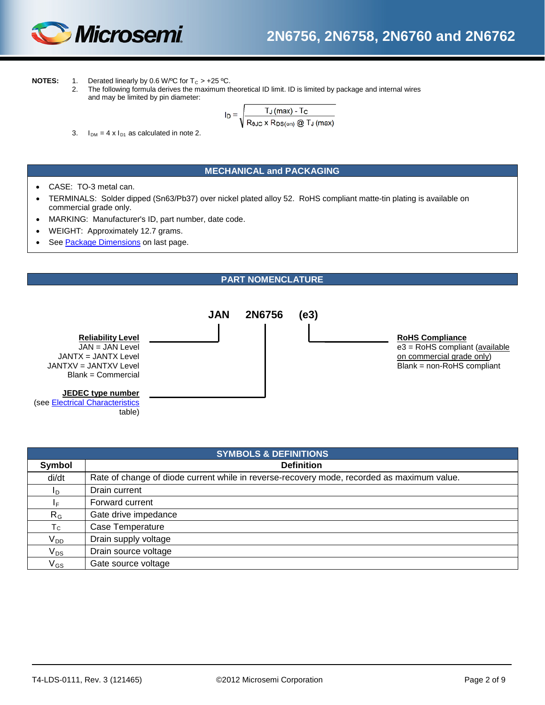

**NOTES:** 1. Derated linearly by 0.6 W/°C for  $T_c > +25$  °C.<br>2. The following formula derives the maximum the

2. The following formula derives the maximum theoretical ID limit. ID is limited by package and internal wires and may be limited by pin diameter:

$$
I_D = \sqrt{\frac{T_J \, (max) - T_C}{R_{\theta JC} \times R_{DS(on)} \, @ \, T_J \, (max)}}
$$

3.  $I_{DM} = 4 \times I_{D1}$  as calculated in note 2.

## **MECHANICAL and PACKAGING**

- CASE: TO-3 metal can.
- TERMINALS: Solder dipped (Sn63/Pb37) over nickel plated alloy 52. RoHS compliant matte-tin plating is available on commercial grade only.
- MARKING: Manufacturer's ID, part number, date code.
- WEIGHT: Approximately 12.7 grams.
- See [Package Dimensions](#page-8-0) on last page.

## **PART NOMENCLATURE**

<span id="page-1-0"></span>

| <b>SYMBOLS &amp; DEFINITIONS</b> |                                                                                            |  |  |  |  |
|----------------------------------|--------------------------------------------------------------------------------------------|--|--|--|--|
| Symbol                           | <b>Definition</b>                                                                          |  |  |  |  |
| di/dt                            | Rate of change of diode current while in reverse-recovery mode, recorded as maximum value. |  |  |  |  |
| I <sub>D</sub>                   | Drain current                                                                              |  |  |  |  |
| ΙF.                              | Forward current                                                                            |  |  |  |  |
| $R_G$                            | Gate drive impedance                                                                       |  |  |  |  |
| $T_{\rm C}$                      | Case Temperature                                                                           |  |  |  |  |
| $V_{DD}$                         | Drain supply voltage                                                                       |  |  |  |  |
| $\mathsf{V}_{\mathsf{DS}}$       | Drain source voltage                                                                       |  |  |  |  |
| $\mathsf{V}_{\mathsf{GS}}$       | Gate source voltage                                                                        |  |  |  |  |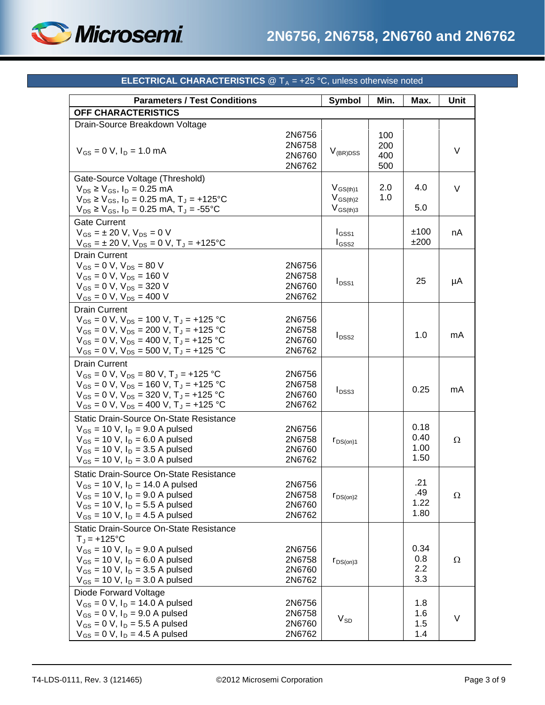

<span id="page-2-0"></span>

| <b>Parameters / Test Conditions</b>                     |                                      | Symbol        | Min.                     | Max. | Unit     |
|---------------------------------------------------------|--------------------------------------|---------------|--------------------------|------|----------|
| <b>OFF CHARACTERISTICS</b>                              |                                      |               |                          |      |          |
| Drain-Source Breakdown Voltage                          |                                      |               |                          |      |          |
| $V_{GS} = 0$ V, $I_D = 1.0$ mA                          | 2N6756<br>2N6758<br>2N6760<br>2N6762 | $V_{(BR)DSS}$ | 100<br>200<br>400<br>500 |      | V        |
| Gate-Source Voltage (Threshold)                         |                                      |               |                          |      |          |
| $V_{DS} \ge V_{GS}$ , $I_D = 0.25$ mA                   |                                      | $V_{GS(th)1}$ | 2.0                      | 4.0  | V        |
| $V_{DS} \geq V_{GS}$ , $I_D = 0.25$ mA, $T_A = +125$ °C |                                      | $V_{GS(th)2}$ | 1.0                      |      |          |
| $V_{DS} \ge V_{GS}$ , $I_D = 0.25$ mA, $T_J = -55$ °C   |                                      | $V_{GS(th)3}$ |                          | 5.0  |          |
| <b>Gate Current</b>                                     |                                      |               |                          |      |          |
| $V_{GS} = \pm 20$ V, $V_{DS} = 0$ V                     |                                      | $I_{GSS1}$    |                          | ±100 | nA       |
| $V_{GS} = \pm 20$ V, $V_{DS} = 0$ V, $T_J = +125$ °C    |                                      | $I_{GSS2}$    |                          | ±200 |          |
| <b>Drain Current</b>                                    |                                      |               |                          |      |          |
| $V_{GS} = 0 V$ , $V_{DS} = 80 V$                        | 2N6756                               |               |                          |      |          |
| $V_{GS} = 0 V$ , $V_{DS} = 160 V$                       | 2N6758                               |               |                          |      |          |
| $V_{GS} = 0 V$ , $V_{DS} = 320 V$                       | 2N6760                               | $I_{DSS1}$    |                          | 25   | μA       |
| $V_{GS} = 0 V$ , $V_{DS} = 400 V$                       | 2N6762                               |               |                          |      |          |
| <b>Drain Current</b>                                    |                                      |               |                          |      |          |
| $V_{GS} = 0$ V, $V_{DS} = 100$ V, $T_{J} = +125$ °C     | 2N6756                               |               |                          |      |          |
| $V_{GS} = 0 V$ , $V_{DS} = 200 V$ , $T_J = +125 °C$     | 2N6758                               |               |                          |      |          |
| $V_{GS} = 0$ V, $V_{DS} = 400$ V, $T_J = +125$ °C       | 2N6760                               | $I_{DSS2}$    |                          | 1.0  | mA       |
| $V_{GS} = 0$ V, $V_{DS} = 500$ V, $T_J = +125$ °C       | 2N6762                               |               |                          |      |          |
| <b>Drain Current</b>                                    |                                      |               |                          |      |          |
| $V_{GS} = 0$ V, $V_{DS} = 80$ V, $T_J = +125$ °C        | 2N6756                               |               |                          |      |          |
| $V_{GS} = 0$ V, $V_{DS} = 160$ V, $T_J = +125$ °C       | 2N6758                               |               |                          |      |          |
| $V_{GS} = 0$ V, $V_{DS} = 320$ V, $T_J = +125$ °C       | 2N6760                               | $I_{DSS3}$    |                          | 0.25 | mA       |
| $V_{GS} = 0$ V, $V_{DS} = 400$ V, $T_J = +125$ °C       | 2N6762                               |               |                          |      |          |
| <b>Static Drain-Source On-State Resistance</b>          |                                      |               |                          |      |          |
| $V_{GS}$ = 10 V, I <sub>D</sub> = 9.0 A pulsed          | 2N6756                               |               |                          | 0.18 |          |
| $V_{GS}$ = 10 V, $I_D$ = 6.0 A pulsed                   | 2N6758                               | $r_{DS(on)1}$ |                          | 0.40 | Ω        |
| $V_{GS}$ = 10 V, I <sub>D</sub> = 3.5 A pulsed          | 2N6760                               |               |                          | 1.00 |          |
| $V_{GS}$ = 10 V, $I_D$ = 3.0 A pulsed                   | 2N6762                               |               |                          | 1.50 |          |
| Static Drain-Source On-State Resistance                 |                                      |               |                          |      |          |
| $V_{GS}$ = 10 V, I <sub>D</sub> = 14.0 A pulsed         | 2N6756                               |               |                          | .21  |          |
| $V_{GS}$ = 10 V, $I_D$ = 9.0 A pulsed                   | 2N6758                               |               |                          | .49  | $\Omega$ |
| $V_{GS}$ = 10 V, I <sub>D</sub> = 5.5 A pulsed          | 2N6760                               | $r_{DS(on)2}$ |                          | 1.22 |          |
| $V_{GS}$ = 10 V, $I_D$ = 4.5 A pulsed                   | 2N6762                               |               |                          | 1.80 |          |
| Static Drain-Source On-State Resistance                 |                                      |               |                          |      |          |
| $T_{J}$ = +125°C                                        |                                      |               |                          |      |          |
| $V_{GS}$ = 10 V, $I_D$ = 9.0 A pulsed                   | 2N6756                               |               |                          | 0.34 |          |
| $V_{GS}$ = 10 V, I <sub>D</sub> = 6.0 A pulsed          | 2N6758                               |               |                          | 0.8  | Ω        |
| $V_{GS}$ = 10 V, I <sub>D</sub> = 3.5 A pulsed          | 2N6760                               | $r_{DS(on)3}$ |                          | 2.2  |          |
| $V_{GS}$ = 10 V, $I_D$ = 3.0 A pulsed                   | 2N6762                               |               |                          | 3.3  |          |
| Diode Forward Voltage                                   |                                      |               |                          |      |          |
| $V_{GS} = 0 V$ , $I_D = 14.0 A pulsed$                  | 2N6756                               |               |                          | 1.8  |          |
| $V_{GS} = 0 V$ , $I_D = 9.0 A pulsed$                   | 2N6758                               |               |                          | 1.6  |          |
| $V_{GS} = 0 V$ , $I_D = 5.5 A pulsed$                   | 2N6760                               | $V_{SD}$      |                          | 1.5  | V        |
| $V_{GS} = 0$ V, $I_D = 4.5$ A pulsed                    | 2N6762                               |               |                          | 1.4  |          |

## **ELECTRICAL CHARACTERISTICS**  $@T_A = +25 °C$ , unless otherwise noted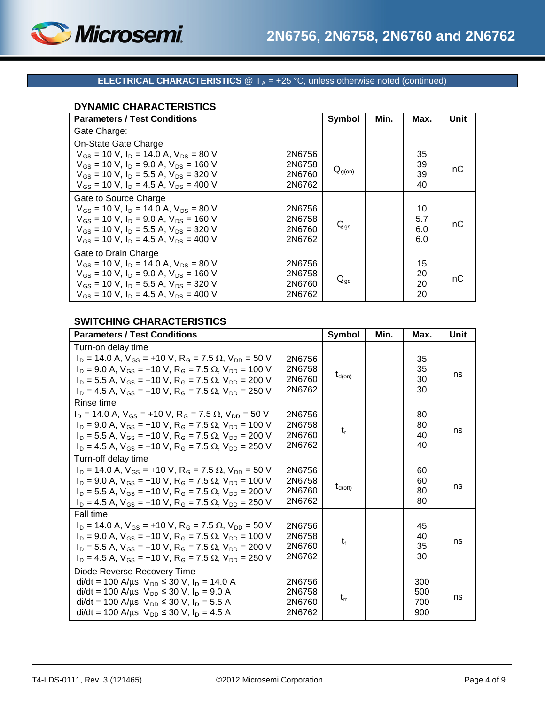

## **ELECTRICAL CHARACTERISTICS**  $@T_A = +25 °C$ , unless otherwise noted (continued)

## **DYNAMIC CHARACTERISTICS**

| <b>Parameters / Test Conditions</b>                                        | Symbol          | Min. | Max. | Unit |
|----------------------------------------------------------------------------|-----------------|------|------|------|
| Gate Charge:                                                               |                 |      |      |      |
| On-State Gate Charge                                                       |                 |      |      |      |
| $V_{GS}$ = 10 V, $I_D$ = 14.0 A, $V_{DS}$ = 80 V<br>2N6756                 |                 |      | 35   |      |
| $V_{GS}$ = 10 V, $I_D$ = 9.0 A, $V_{DS}$ = 160 V<br>2N6758                 |                 |      | 39   | nС   |
| $V_{GS}$ = 10 V, I <sub>D</sub> = 5.5 A, V <sub>DS</sub> = 320 V<br>2N6760 | $Q_{g(0n)}$     |      | 39   |      |
| $V_{GS}$ = 10 V, $I_D$ = 4.5 A, $V_{DS}$ = 400 V<br>2N6762                 |                 |      | 40   |      |
| Gate to Source Charge                                                      |                 |      |      |      |
| $V_{GS}$ = 10 V, $I_D$ = 14.0 A, $V_{DS}$ = 80 V<br>2N6756                 |                 |      | 10   |      |
| $V_{GS}$ = 10 V, $I_D$ = 9.0 A, $V_{DS}$ = 160 V<br>2N6758                 | $Q_{qs}$        |      | 5.7  | nC   |
| $V_{GS}$ = 10 V, $I_D$ = 5.5 A, $V_{DS}$ = 320 V<br>2N6760                 |                 |      | 6.0  |      |
| $V_{gs}$ = 10 V, $I_{D}$ = 4.5 A, $V_{DS}$ = 400 V<br>2N6762               |                 |      | 6.0  |      |
| Gate to Drain Charge                                                       |                 |      |      |      |
| $V_{GS}$ = 10 V, I <sub>D</sub> = 14.0 A, V <sub>DS</sub> = 80 V<br>2N6756 |                 |      | 15   |      |
| $V_{GS}$ = 10 V, $I_D$ = 9.0 A, $V_{DS}$ = 160 V<br>2N6758                 |                 |      | 20   | nС   |
| $V_{GS}$ = 10 V, $I_D$ = 5.5 A, $V_{DS}$ = 320 V<br>2N6760                 | $Q_{\text{qd}}$ |      | 20   |      |
| $V_{GS}$ = 10 V, $I_D$ = 4.5 A, $V_{DS}$ = 400 V<br>2N6762                 |                 |      | 20   |      |

## **SWITCHING CHARACTERISTICS**

| <b>Parameters / Test Conditions</b>                                                      |        | <b>Symbol</b>       | Min. | Max. | Unit |
|------------------------------------------------------------------------------------------|--------|---------------------|------|------|------|
| Turn-on delay time                                                                       |        |                     |      |      |      |
| $I_D = 14.0$ A, $V_{GS} = +10$ V, R <sub>G</sub> = 7.5 $\Omega$ , V <sub>DD</sub> = 50 V | 2N6756 |                     |      | 35   |      |
| $I_D = 9.0$ A, $V_{GS} = +10$ V, $R_G = 7.5$ $\Omega$ , $V_{DD} = 100$ V                 | 2N6758 |                     |      | 35   | ns   |
| $I_D = 5.5$ A, $V_{GS} = +10$ V, R <sub>G</sub> = 7.5 $\Omega$ , V <sub>DD</sub> = 200 V | 2N6760 | $t_{d(on)}$         |      | 30   |      |
| $I_D = 4.5$ A, $V_{GS} = +10$ V, R <sub>G</sub> = 7.5 $\Omega$ , V <sub>DD</sub> = 250 V | 2N6762 |                     |      | 30   |      |
| Rinse time                                                                               |        |                     |      |      |      |
| $I_D = 14.0$ A, $V_{GS} = +10$ V, $R_G = 7.5$ $\Omega$ , $V_{DD} = 50$ V                 | 2N6756 |                     |      | 80   |      |
| $I_D = 9.0$ A, $V_{GS} = +10$ V, $R_G = 7.5$ $\Omega$ , $V_{DD} = 100$ V                 | 2N6758 | $t_{\rm r}$         |      | 80   | ns   |
| $I_D = 5.5$ A, $V_{GS} = +10$ V, $R_G = 7.5$ $\Omega$ , $V_{DD} = 200$ V                 | 2N6760 |                     |      | 40   |      |
| $I_D = 4.5$ A, $V_{GS} = +10$ V, R <sub>G</sub> = 7.5 $\Omega$ , V <sub>DD</sub> = 250 V | 2N6762 |                     |      | 40   |      |
| Turn-off delay time                                                                      |        |                     |      |      |      |
| $I_D = 14.0$ A, $V_{GS} = +10$ V, $R_G = 7.5$ $\Omega$ , $V_{DD} = 50$ V                 | 2N6756 |                     |      | 60   |      |
| $I_D = 9.0$ A, $V_{GS} = +10$ V, R <sub>G</sub> = 7.5 $\Omega$ , V <sub>DD</sub> = 100 V | 2N6758 | $t_{d(\text{off})}$ |      | 60   | ns   |
| $I_D = 5.5$ A, $V_{GS} = +10$ V, R <sub>G</sub> = 7.5 $\Omega$ , V <sub>DD</sub> = 200 V | 2N6760 |                     |      | 80   |      |
| $I_D = 4.5$ A, $V_{GS} = +10$ V, R <sub>G</sub> = 7.5 $\Omega$ , V <sub>DD</sub> = 250 V | 2N6762 |                     |      | 80   |      |
| <b>Fall time</b>                                                                         |        |                     |      |      |      |
| $I_D = 14.0$ A, $V_{GS} = +10$ V, $R_G = 7.5$ $\Omega$ , $V_{DD} = 50$ V                 | 2N6756 |                     |      | 45   |      |
| $I_D = 9.0$ A, $V_{GS} = +10$ V, R <sub>G</sub> = 7.5 $\Omega$ , V <sub>DD</sub> = 100 V | 2N6758 | $t_{\rm f}$         |      | 40   | ns   |
| $I_D = 5.5$ A, $V_{GS} = +10$ V, $R_G = 7.5$ $\Omega$ , $V_{DD} = 200$ V                 | 2N6760 |                     |      | 35   |      |
| $I_D = 4.5$ A, $V_{GS} = +10$ V, R <sub>G</sub> = 7.5 $\Omega$ , V <sub>DD</sub> = 250 V | 2N6762 |                     |      | 30   |      |
| Diode Reverse Recovery Time                                                              |        |                     |      |      |      |
| $di/dt = 100$ A/µs, $V_{DD} \le 30$ V, $I_D = 14.0$ A                                    | 2N6756 |                     |      | 300  |      |
| $di/dt = 100$ A/µs, $V_{DD} \le 30$ V, $I_D = 9.0$ A                                     | 2N6758 | $t_{rr}$            |      | 500  | ns   |
| di/dt = 100 A/µs, $V_{DD}$ ≤ 30 V, I <sub>D</sub> = 5.5 A                                | 2N6760 |                     |      | 700  |      |
| $di/dt = 100$ A/µs, $V_{DD} \le 30$ V, $I_D = 4.5$ A                                     | 2N6762 |                     |      | 900  |      |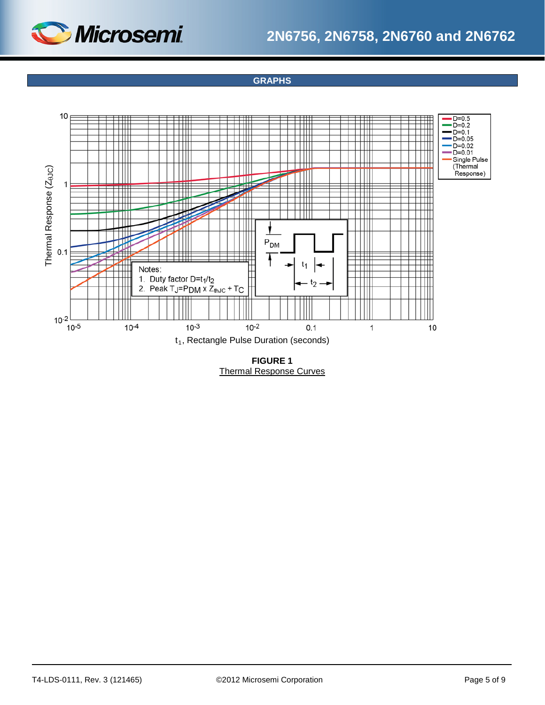



**GRAPHS**



**FIGURE 1** Thermal Response Curves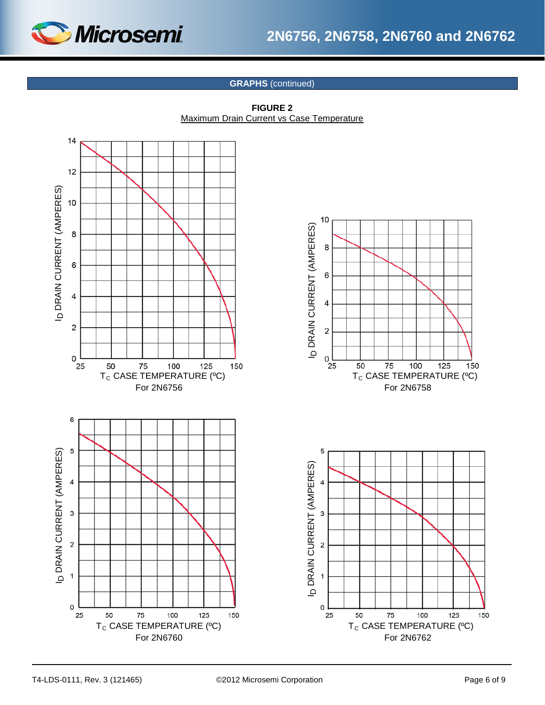

# **2N6756, 2N6758, 2N6760 and 2N6762**

## **GRAPHS** (continued)



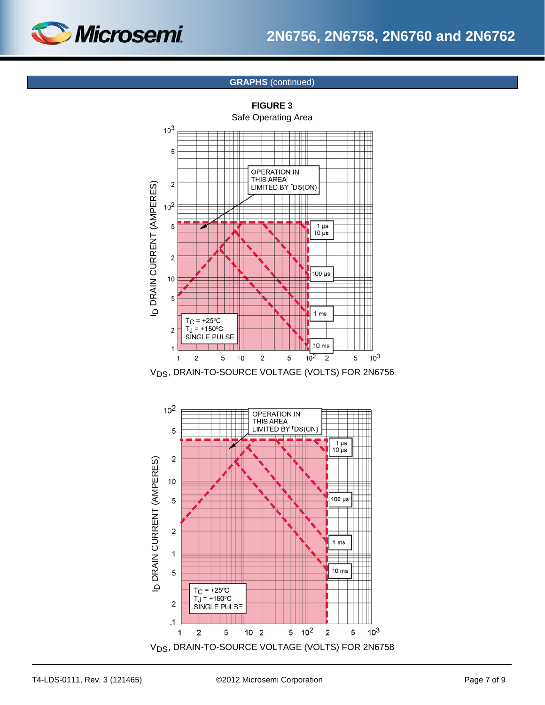

## **GRAPHS** (continued)



V<sub>DS</sub>, DRAIN-TO-SOURCE VOLTAGE (VOLTS) FOR 2N6756

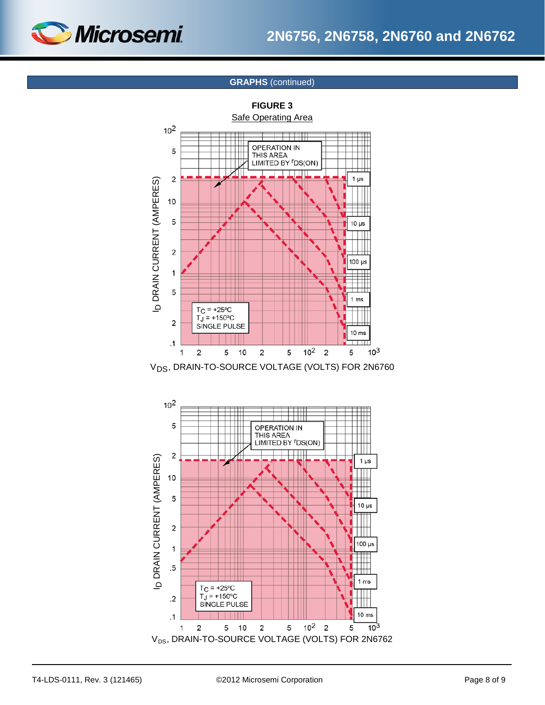

## **GRAPHS** (continued)



V<sub>DS</sub>, DRAIN-TO-SOURCE VOLTAGE (VOLTS) FOR 2N6760